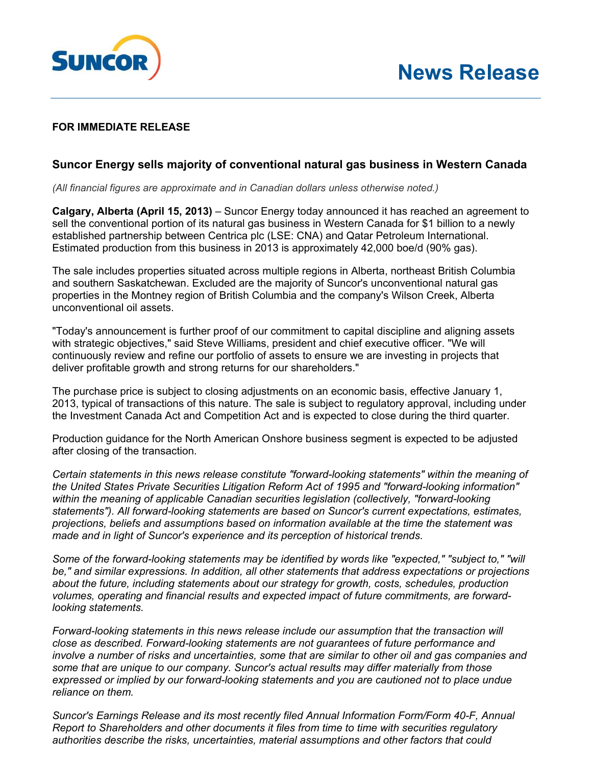

## **FOR IMMEDIATE RELEASE**

## **Suncor Energy sells majority of conventional natural gas business in Western Canada**

*(All financial figures are approximate and in Canadian dollars unless otherwise noted.)*

**Calgary, Alberta (April 15, 2013)** – Suncor Energy today announced it has reached an agreement to sell the conventional portion of its natural gas business in Western Canada for \$1 billion to a newly established partnership between Centrica plc (LSE: CNA) and Qatar Petroleum International. Estimated production from this business in 2013 is approximately 42,000 boe/d (90% gas).

The sale includes properties situated across multiple regions in Alberta, northeast British Columbia and southern Saskatchewan. Excluded are the majority of Suncor's unconventional natural gas properties in the Montney region of British Columbia and the company's Wilson Creek, Alberta unconventional oil assets.

"Today's announcement is further proof of our commitment to capital discipline and aligning assets with strategic objectives," said Steve Williams, president and chief executive officer. "We will continuously review and refine our portfolio of assets to ensure we are investing in projects that deliver profitable growth and strong returns for our shareholders."

The purchase price is subject to closing adjustments on an economic basis, effective January 1, 2013, typical of transactions of this nature. The sale is subject to regulatory approval, including under the Investment Canada Act and Competition Act and is expected to close during the third quarter.

Production guidance for the North American Onshore business segment is expected to be adjusted after closing of the transaction.

*Certain statements in this news release constitute "forward-looking statements" within the meaning of the United States Private Securities Litigation Reform Act of 1995 and "forward-looking information" within the meaning of applicable Canadian securities legislation (collectively, "forward-looking statements"). All forward-looking statements are based on Suncor's current expectations, estimates, projections, beliefs and assumptions based on information available at the time the statement was made and in light of Suncor's experience and its perception of historical trends.*

*Some of the forward-looking statements may be identified by words like "expected," "subject to," "will be," and similar expressions. In addition, all other statements that address expectations or projections about the future, including statements about our strategy for growth, costs, schedules, production volumes, operating and financial results and expected impact of future commitments, are forwardlooking statements.*

*Forward-looking statements in this news release include our assumption that the transaction will close as described. Forward-looking statements are not guarantees of future performance and involve a number of risks and uncertainties, some that are similar to other oil and gas companies and some that are unique to our company. Suncor's actual results may differ materially from those expressed or implied by our forward-looking statements and you are cautioned not to place undue reliance on them.*

*Suncor's Earnings Release and its most recently filed Annual Information Form/Form 40-F, Annual Report to Shareholders and other documents it files from time to time with securities regulatory authorities describe the risks, uncertainties, material assumptions and other factors that could*